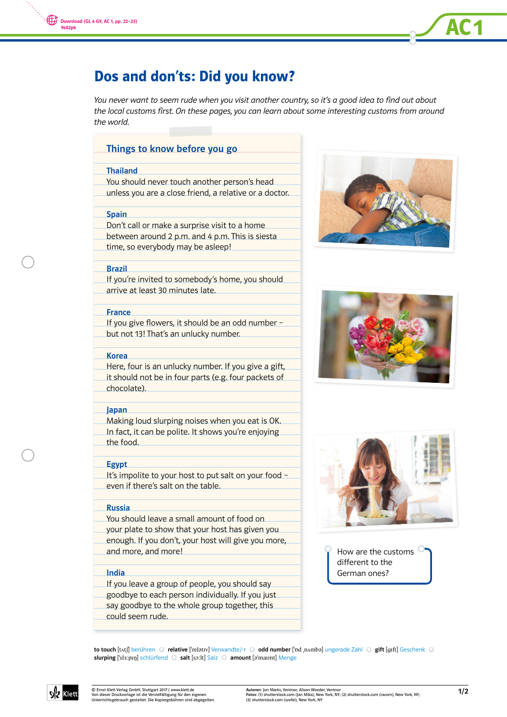

You never want to seem rude when you visit another country, so it's a good idea to find out about the local customs first. On these pages, you can learn about some interesting customs from around the world.

# Things to know before you go

## Thailand

You should never touch another person's head unless you are a close friend, a relative or a doctor.

### Spain

- Don't call or make a surprise visit to a home
- between around 2 p.m. and 4 p.m. This is siesta time, so everybody may be asleep!

### Brazil

If you're invited to somebody's home, you should arrive at least 30 minutes late.

# **France**

If you give flowers, it should be an odd number but not 13! That's an unlucky number.

#### Korea

Here, four is an unlucky number. If you give a gift, it should not be in four parts (e.g. four packets of chocolate).

#### Japan

Making loud slurping noises when you eat is OK. In fact, it can be polite. It shows you're enjoying the food.

## Egypt

It's impolite to your host to put salt on your food – even if there's salt on the table.

# Russia

- You should leave a small amount of food on
- your plate to show that your host has given you
- enough. If you don't, your host will give you more, and more, and more!

# India

- If you leave a group of people, you should say
- goodbye to each person individually. If you just
- say goodbye to the whole group together, this
- could seem rude.



AC<sub>1</sub>





How are the customs different to the German ones?

to touch [tʌtʃ] berühren © relative ['relatıv] Verwandte/-r © odd number ['bd nʌmba] ungerade Zahl © gift [gɪft] Geschenk © slurping ['sl3:pIn] schlürfend O salt [so:lt] Salz O amount [a'maunt] Menge